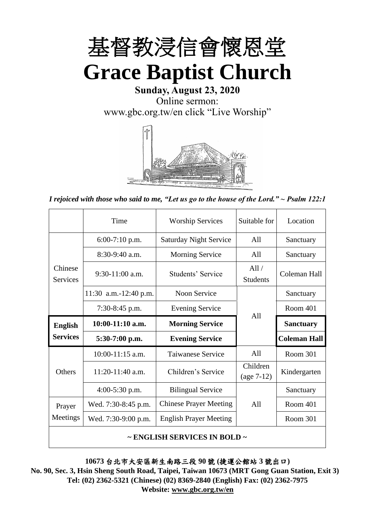

**Sunday, August 23, 2020** Online sermon: [www.gbc.org.tw/en](http://www.gbc.org.tw/en) click "Live Worship"



*I rejoiced with those who said to me, "Let us go to the house of the Lord." ~ Psalm 122:1*

|                            | Time                  | <b>Worship Services</b>                      | Suitable for             | Location            |
|----------------------------|-----------------------|----------------------------------------------|--------------------------|---------------------|
|                            | $6:00-7:10$ p.m.      | <b>Saturday Night Service</b>                | A11                      | Sanctuary           |
|                            | $8:30-9:40$ a.m.      | <b>Morning Service</b>                       | All                      | Sanctuary           |
| Chinese<br><b>Services</b> | $9:30-11:00$ a.m.     | Students' Service                            | All/<br><b>Students</b>  | Coleman Hall        |
|                            | 11:30 a.m.-12:40 p.m. | Noon Service                                 |                          | Sanctuary           |
|                            | 7:30-8:45 p.m.        | <b>Evening Service</b>                       | A11                      | Room 401            |
|                            |                       | $10:00-11:10$ a.m.<br><b>Morning Service</b> |                          |                     |
| <b>English</b>             |                       |                                              |                          | <b>Sanctuary</b>    |
| <b>Services</b>            | $5:30-7:00$ p.m.      | <b>Evening Service</b>                       |                          | <b>Coleman Hall</b> |
|                            | $10:00-11:15$ a.m.    | <b>Taiwanese Service</b>                     | A11                      | Room 301            |
| Others                     | $11:20-11:40$ a.m.    | Children's Service                           | Children<br>$(age 7-12)$ | Kindergarten        |
|                            | $4:00-5:30$ p.m.      | <b>Bilingual Service</b>                     |                          | Sanctuary           |
| Prayer                     | Wed. 7:30-8:45 p.m.   | <b>Chinese Prayer Meeting</b>                | A11                      | Room 401            |
| Meetings                   | Wed. 7:30-9:00 p.m.   | <b>English Prayer Meeting</b>                |                          | Room 301            |

**10673** 台北市大安區新生南路三段 **90** 號 **(**捷運公館站 **3** 號出口**)**

**No. 90, Sec. 3, Hsin Sheng South Road, Taipei, Taiwan 10673 (MRT Gong Guan Station, Exit 3) Tel: (02) 2362-5321 (Chinese) (02) 8369-2840 (English) Fax: (02) 2362-7975 Website: [www.gbc.org.tw/en](http://www.gbc.org.tw/en)**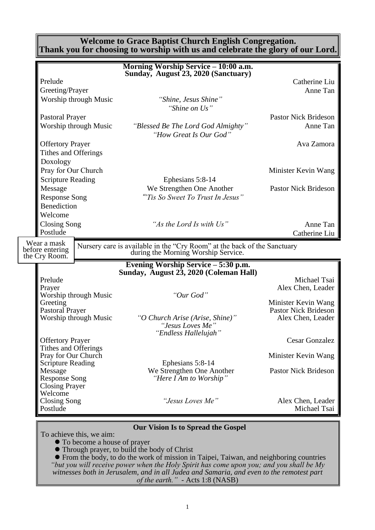**Welcome to Grace Baptist Church English Congregation. Thank you for choosing to worship with us and celebrate the glory of our Lord.**

|                                                 | Morning Worship Service - 10:00 a.m.                                                                            |                                                    |
|-------------------------------------------------|-----------------------------------------------------------------------------------------------------------------|----------------------------------------------------|
| Prelude                                         | Sunday, August 23, 2020 (Sanctuary)                                                                             | Catherine Liu                                      |
| Greeting/Prayer                                 |                                                                                                                 |                                                    |
|                                                 |                                                                                                                 | Anne Tan                                           |
| Worship through Music                           | "Shine, Jesus Shine"<br>"Shine on Us"                                                                           |                                                    |
| <b>Pastoral Prayer</b>                          |                                                                                                                 | <b>Pastor Nick Brideson</b>                        |
| Worship through Music                           | "Blessed Be The Lord God Almighty"<br>"How Great Is Our God"                                                    | Anne Tan                                           |
| <b>Offertory Prayer</b>                         |                                                                                                                 | Ava Zamora                                         |
| Tithes and Offerings                            |                                                                                                                 |                                                    |
| Doxology                                        |                                                                                                                 |                                                    |
| Pray for Our Church                             |                                                                                                                 | Minister Kevin Wang                                |
| <b>Scripture Reading</b>                        | Ephesians 5:8-14                                                                                                |                                                    |
| Message                                         | We Strengthen One Another                                                                                       | <b>Pastor Nick Brideson</b>                        |
| <b>Response Song</b>                            | "Tis So Sweet To Trust In Jesus"                                                                                |                                                    |
| <b>Benediction</b>                              |                                                                                                                 |                                                    |
| Welcome                                         |                                                                                                                 |                                                    |
| <b>Closing Song</b>                             | "As the Lord Is with Us"                                                                                        | Anne Tan                                           |
| Postlude                                        |                                                                                                                 | Catherine Liu                                      |
| Wear a mask<br>before entering<br>the Cry Room. | Nursery care is available in the "Cry Room" at the back of the Sanctuary<br>during the Morning Worship Service. |                                                    |
|                                                 | Evening Worship Service - 5:30 p.m.<br>Sunday, August 23, 2020 (Coleman Hall)                                   |                                                    |
| Prelude                                         |                                                                                                                 | Michael Tsai                                       |
| Prayer                                          |                                                                                                                 | Alex Chen, Leader                                  |
| Worship through Music                           | "Our God"                                                                                                       |                                                    |
| Greeting<br><b>Pastoral Prayer</b>              |                                                                                                                 | Minister Kevin Wang<br><b>Pastor Nick Brideson</b> |
| Worship through Music                           | "O Church Arise (Arise, Shine)"                                                                                 | Alex Chen, Leader                                  |
|                                                 | "Jesus Loves Me"                                                                                                |                                                    |
|                                                 | "Endless Hallelujah"                                                                                            |                                                    |
| <b>Offertory Prayer</b>                         |                                                                                                                 | <b>Cesar Gonzalez</b>                              |
| Tithes and Offerings<br>Pray for Our Church     |                                                                                                                 | Minister Kevin Wang                                |
| <b>Scripture Reading</b>                        | Ephesians 5:8-14                                                                                                |                                                    |
| Message                                         | We Strengthen One Another                                                                                       | <b>Pastor Nick Brideson</b>                        |
| <b>Response Song</b>                            | "Here I Am to Worship"                                                                                          |                                                    |
| <b>Closing Prayer</b>                           |                                                                                                                 |                                                    |
| Welcome<br>Closing Song                         | "Jesus Loves Me"                                                                                                |                                                    |
| Postlude                                        |                                                                                                                 | Alex Chen, Leader<br>Michael Tsai                  |
|                                                 | <b>Our Vision Is to Spread the Gospel</b>                                                                       |                                                    |
|                                                 |                                                                                                                 |                                                    |

To achieve this, we aim:

⚫ To become a house of prayer

⚫ Through prayer, to build the body of Christ

⚫ From the body, to do the work of mission in Taipei, Taiwan, and neighboring countries *"but you will receive power when the Holy Spirit has come upon you; and you shall be My witnesses both in Jerusalem, and in all Judea and Samaria, and even to the remotest part of the earth." -* Acts 1:8 (NASB)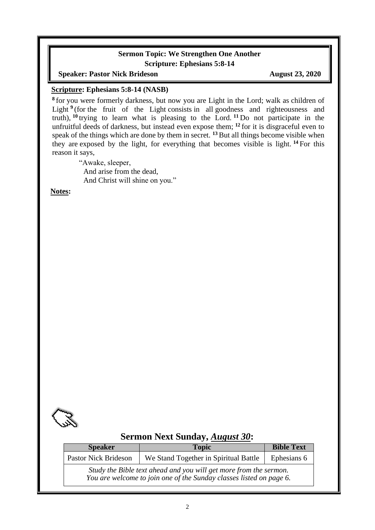### **Sermon Topic: We Strengthen One Another Scripture: Ephesians 5:8-14**

**Speaker: Pastor Nick Brideson August 23, 2020** 

#### **Scripture: Ephesians 5:8-14 (NASB)**

**8** for you were formerly darkness, but now you are Light in the Lord; walk as children of Light <sup>9</sup> (for the fruit of the Light consists in all goodness and righteousness and truth), **<sup>10</sup>** trying to learn what is pleasing to the Lord. **<sup>11</sup>** Do not participate in the unfruitful deeds of darkness, but instead even expose them; **<sup>12</sup>** for it is disgraceful even to speak of the things which are done by them in secret. **<sup>13</sup>**But all things become visible when they are exposed by the light, for everything that becomes visible is light. **<sup>14</sup>** For this reason it says,

"Awake, sleeper, And arise from the dead, And Christ will shine on you."

**Notes:**



# **Sermon Next Sunday,** *August 30***:**

| <b>Speaker</b>       | <b>Topic</b>                                                                                                                             | <b>Bible Text</b> |
|----------------------|------------------------------------------------------------------------------------------------------------------------------------------|-------------------|
| Pastor Nick Brideson | We Stand Together in Spiritual Battle                                                                                                    | Ephesians 6       |
|                      | Study the Bible text ahead and you will get more from the sermon.<br>You are welcome to join one of the Sunday classes listed on page 6. |                   |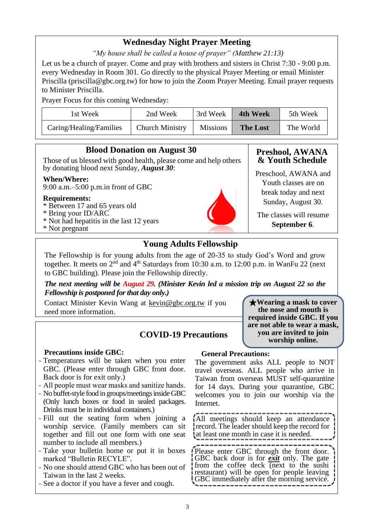# **Wednesday Night Prayer Meeting**

*"My house shall be called a house of prayer" (Matthew 21:13)*

Let us be a church of prayer. Come and pray with brothers and sisters in Christ 7:30 - 9:00 p.m. every Wednesday in Room 301. Go directly to the physical Prayer Meeting or email Minister Priscilla (priscilla@gbc.org.tw) for how to join the Zoom Prayer Meeting. Email prayer requests to Minister Priscilla.

Prayer Focus for this coming Wednesday:

| 1st Week                | 2nd Week               | 3rd Week        | <b>4th Week</b> | 5th Week  |
|-------------------------|------------------------|-----------------|-----------------|-----------|
| Caring/Healing/Families | <b>Church Ministry</b> | <b>Missions</b> | <b>The Lost</b> | The World |

#### **Blood Donation on August 30** Those of us blessed with good health, please come and help others by donating blood next Sunday, *August 30*: **When/Where:** 9:00 a.m.–5:00 p.m.in front of GBC **Requirements:** \* Between 17 and 65 years old \* Bring your ID/ARC \* Not had hepatitis in the last 12 years \* Not pregnant **Preshool, AWANA & Youth Schedule** Preschool, AWANA and Youth classes are on break today and next Sunday, August 30. **September 6**.

# **Young Adults Fellowship**

The Fellowship is for young adults from the age of 20-35 to study God's Word and grow together. It meets on 2<sup>nd</sup> and 4<sup>th</sup> Saturdays from 10:30 a.m. to 12:00 p.m. in WanFu 22 (next to GBC building). Please join the Fellowship directly.

*The next meeting will be August 29. (Minister Kevin led a mission trip on August 22 so the Fellowship is postponed for that day only.)*

Contact Minister Kevin Wang at kevin@gbc.org.tw if you need more information.

# **COVID-19 Precautions**

### **Precautions inside GBC:**

- Temperatures will be taken when you enter GBC. (Please enter through GBC front door. Back door is for exit only.)
- All people must wear masks and sanitize hands.
- No buffet-style food in groups/meetings inside GBC (Only lunch boxes or food in sealed packages. Drinks must be in individual containers.)
- Fill out the seating form when joining a worship service. (Family members can sit together and fill out one form with one seat number to include all members.)
- Take your bulletin home or put it in boxes marked "Bulletin RECYLE".
- No one should attend GBC who has been out of Taiwan in the last 2 weeks.
- See a doctor if you have a fever and cough.

#### **General Precautions:**

The government asks ALL people to NOT travel overseas. ALL people who arrive in Taiwan from overseas MUST self-quarantine for 14 days. During your quarantine, GBC welcomes you to join our worship via the Internet.

All meetings should keep an attendance record. The leader should keep the record for at least one month in case it is needed.

Please enter GBC through the front door. GBC back door is for *exit* only. The gate from the coffee deck (next to the sushi restaurant) will be open for people leaving GBC immediately after the morning service.

The classes will resume

★**Wearing a mask to cover the nose and mouth is required inside GBC. If you are not able to wear a mask, you are invited to join worship online.**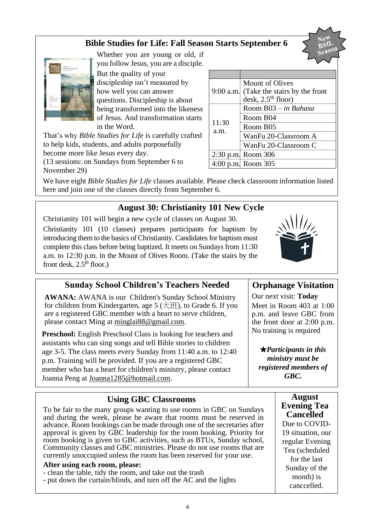# **Bible Studies for Life: Fall Season Starts September 6**



Whether you are young or old, if you follow Jesus, you are a disciple.

But the quality of your discipleship isn't measured by how well you can answer questions. Discipleship is about being transformed into the likeness of Jesus. And transformation starts in the Word.

That's why *Bible Studies for Life* is carefully crafted to help kids, students, and adults purposefully become more like Jesus every day.

(13 sessions: on Sundays from September 6 to November 29)

We have eight *Bible Studies for Life* classes available. Please check classroom information listed here and join one of the classes directly from September 6.

# **August 30: Christianity 101 New Cycle**

Christianity 101 will begin a new cycle of classes on August 30. Christianity 101 (10 classes) prepares participants for baptism by introducing them to the basics of Christianity. Candidates for baptism must complete this class before being baptized. It meets on Sundays from 11:30 a.m. to 12:30 p.m. in the Mount of Olives Room. (Take the stairs by the front desk,  $2.5<sup>th</sup>$  floor.)

# **Sunday School Children's Teachers Needed**

**AWANA:** AWANA is our Children's Sunday School Ministry for children from Kindergarten, age  $5 \times 5$ , to Grade 6. If you are a registered GBC member with a heart to serve children, please contact Ming at [minglai88@gmail.com.](mailto:minglai88@gmail.com)

**Preschool:** English Preschool Class is looking for teachers and assistants who can sing songs and tell Bible stories to children age 3-5. The class meets every Sunday from 11:40 a.m. to 12:40 p.m. Training will be provided. If you are a registered GBC member who has a heart for children's ministry, please contact Joanna Peng at Joanna1285@hotmail.com.

# **Using GBC Classrooms**

To be fair to the many groups wanting to use rooms in GBC on Sundays and during the week, please be aware that rooms must be reserved in advance. Room bookings can be made through one of the secretaries after approval is given by GBC leadership for the room booking. Priority for room booking is given to GBC activities, such as BTUs, Sunday school, Community classes and GBC ministries. Please do not use rooms that are currently unoccupied unless the room has been reserved for your use.

### **After using each room, please:**

- clean the table, tidy the room, and take out the trash
- put down the curtain/blinds, and turn off the AC and the lights

|                    | Mount of Olives                         |
|--------------------|-----------------------------------------|
|                    | 9:00 a.m. (Take the stairs by the front |
|                    | desk, $2.5th$ floor)                    |
|                    | Room B03 - in Bahasa                    |
|                    | Room B04                                |
| 11:30<br>a.m.      | Room B05                                |
|                    | WanFu 20-Classroom A                    |
|                    | WanFu 20-Classroom C                    |
| 2:30 p.m. Room 306 |                                         |
|                    | 4:00 p.m. Room 305                      |



# **Orphanage Visitation**

Our next visit: **Today** Meet in Room 403 at 1:00 p.m. and leave GBC from the front door at 2:00 p.m. No training is required

★*Participants in this ministry must be registered members of GBC.*

### **August Evening Tea Cancelled**

Due to COVID-19 situation, our regular Evening Tea (scheduled for the last Sunday of the month) is canccelled.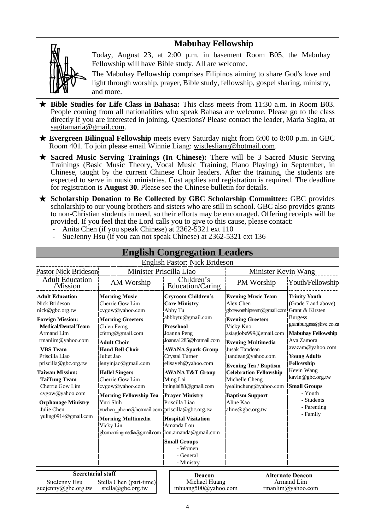# **Mabuhay Fellowship**



Today, August 23, at 2:00 p.m. in basement Room B05, the Mabuhay Fellowship will have Bible study. All are welcome.

The Mabuhay Fellowship comprises Filipinos aiming to share God's love and light through worship, prayer, Bible study, fellowship, gospel sharing, ministry, and more.

- ★ **Bible Studies for Life Class in Bahasa:** This class meets from 11:30 a.m. in Room B03. People coming from all nationalities who speak Bahasa are welcome. Please go to the class directly if you are interested in joining. Questions? Please contact the leader, Maria Sagita, at sagitamaria@gmail.com.
- ★ **Evergreen Bilingual Fellowship** meets every Saturday night from 6:00 to 8:00 p.m. in GBC Room 401. To join please email Winnie Liang: [wistlesliang@hotmail.com.](mailto:wistlesliang@hotmail.com)
- ★ **Sacred Music Serving Trainings (In Chinese):** There will be 3 Sacred Music Serving Trainings (Basic Music Theory, Vocal Music Training, Piano Playing) in September, in Chinese, taught by the current Chinese Choir leaders. After the training, the students are expected to serve in music ministries. Cost applies and registration is required. The deadline for registration is **August 30**. Please see the Chinese bulletin for details.
- ★ **Scholarship Donation to Be Collected by GBC Scholarship Committee:** GBC provides scholarship to our young brothers and sisters who are still in school. GBC also provides grants to non-Christian students in need, so their efforts may be encouraged. Offering receipts will be provided. If you feel that the Lord calls you to give to this cause, please contact:
	- Anita Chen (if you speak Chinese) at 2362-5321 ext 110
	- SueJenny Hsu (if you can not speak Chinese) at 2362-5321 ext 136

|                                                                                                                                                                                                                                                                                                                                                                     |                                                                                                                                                                                                                                                                                                                                                                             |                                                                                                                                                                                                                                                                                                                                                                                                                                                                                                                                                                                                                                                                                                                                                                                                                                                                                   | <b>English Congregation Leaders</b> |                                                                                                                                                                                                                                                                                                           |                  |
|---------------------------------------------------------------------------------------------------------------------------------------------------------------------------------------------------------------------------------------------------------------------------------------------------------------------------------------------------------------------|-----------------------------------------------------------------------------------------------------------------------------------------------------------------------------------------------------------------------------------------------------------------------------------------------------------------------------------------------------------------------------|-----------------------------------------------------------------------------------------------------------------------------------------------------------------------------------------------------------------------------------------------------------------------------------------------------------------------------------------------------------------------------------------------------------------------------------------------------------------------------------------------------------------------------------------------------------------------------------------------------------------------------------------------------------------------------------------------------------------------------------------------------------------------------------------------------------------------------------------------------------------------------------|-------------------------------------|-----------------------------------------------------------------------------------------------------------------------------------------------------------------------------------------------------------------------------------------------------------------------------------------------------------|------------------|
|                                                                                                                                                                                                                                                                                                                                                                     |                                                                                                                                                                                                                                                                                                                                                                             |                                                                                                                                                                                                                                                                                                                                                                                                                                                                                                                                                                                                                                                                                                                                                                                                                                                                                   | English Pastor: Nick Brideson       |                                                                                                                                                                                                                                                                                                           |                  |
| Pastor Nick Brideson                                                                                                                                                                                                                                                                                                                                                | Minister Priscilla Liao                                                                                                                                                                                                                                                                                                                                                     |                                                                                                                                                                                                                                                                                                                                                                                                                                                                                                                                                                                                                                                                                                                                                                                                                                                                                   |                                     | Minister Kevin Wang                                                                                                                                                                                                                                                                                       |                  |
| <b>Adult Education</b><br>/Mission                                                                                                                                                                                                                                                                                                                                  | AM Worship                                                                                                                                                                                                                                                                                                                                                                  | Children's<br>Education/Caring                                                                                                                                                                                                                                                                                                                                                                                                                                                                                                                                                                                                                                                                                                                                                                                                                                                    |                                     | PM Worship                                                                                                                                                                                                                                                                                                | Youth/Fellowship |
| <b>Adult Education</b><br><b>Nick Brideson</b><br>nick@gbc.org.tw<br><b>Foreign Mission:</b><br><b>Medical/Dental Team</b><br><b>Armand Lim</b><br>rmanlim@yahoo.com<br><b>VBS</b> Team<br>Priscilla Liao<br>priscilla@gbc.org.tw<br><b>Taiwan Mission:</b><br><b>TaiTung Team</b><br>Cherrie Gow Lim<br>cvgow@yahoo.com<br><b>Orphanage Ministry</b><br>Julie Chen | <b>Morning Music</b><br>Cherrie Gow Lim<br>cvgow@yahoo.com<br><b>Morning Greeters</b><br>Chien Ferng<br>cferng@gmail.com<br><b>Adult Choir</b><br><b>Hand Bell Choir</b><br>Juliet Jao<br>lenyinjao@gmail.com<br><b>Hallel Singers</b><br>Cherrie Gow Lim<br>cvgow@yahoo.com<br><b>Morning Fellowship Tea</b><br>Yuri Shih<br>yuchen phone@hotmail.com priscilla@gbc.org.tw | <b>Cryroom Children's</b><br><b>Evening Music Team</b><br><b>Care Ministry</b><br>Alex Chen<br>Abby Tu<br>gbceworshipteam@gmail.com Grant & Kirsten<br>abbbytu@gmail.com<br><b>Evening Greeters</b><br>Vicky Kuo<br>Preschool<br>asiaglobe999@gmail.com<br>Joanna Peng<br>Joanna1285@hotmail.com<br><b>Evening Multimedia</b><br><b>Jusak Tandean</b><br><b>AWANA Spark Group</b><br>Crystal Turner<br>jtandean@yahoo.com<br>elisayeh@yahoo.com<br><b>Evening Tea / Baptism</b><br><b>Celebration Fellowship</b><br><b>AWANA T&amp;T Group</b><br>Michelle Cheng<br>Ming Lai<br>minglai88@gmail.com<br>yealincheng@yahoo.com<br><b>Baptism Support</b><br><b>Prayer Ministry</b><br>Priscilla Liao<br>Aline Kao<br>aline@gbc.org.tw<br><b>Hospital Visitation</b><br>Amanda Lou<br><b>Small Groups</b><br>- Women<br>- General<br>- Ministry<br>Deacon<br><b>Alternate Deacon</b> |                                     | <b>Trinity Youth</b><br>(Grade 7 and above)<br><b>Burgess</b><br>grantburgess@live.co.za<br><b>Mabuhay Fellowship</b><br>Ava Zamora<br>avazam@yahoo.com<br><b>Young Adults</b><br>Fellowship<br>Kevin Wang<br>kavin@gbc.org.tw<br><b>Small Groups</b><br>- Youth<br>- Students<br>- Parenting<br>- Family |                  |
| yuling0914@gmail.com<br><b>Secretarial staff</b>                                                                                                                                                                                                                                                                                                                    | <b>Morning Multimedia</b><br>Vicky Lin<br>gbcmorningmedia@gmail.com lou.amanda@gmail.com                                                                                                                                                                                                                                                                                    |                                                                                                                                                                                                                                                                                                                                                                                                                                                                                                                                                                                                                                                                                                                                                                                                                                                                                   |                                     |                                                                                                                                                                                                                                                                                                           |                  |
| SueJenny Hsu<br>Stella Chen (part-time)<br>suejenny@gbc.org.tw<br>stella@gbc.org.tw                                                                                                                                                                                                                                                                                 |                                                                                                                                                                                                                                                                                                                                                                             | Michael Huang<br>mhuang500@yahoo.com                                                                                                                                                                                                                                                                                                                                                                                                                                                                                                                                                                                                                                                                                                                                                                                                                                              |                                     | Armand Lim<br>rmanlim@yahoo.com                                                                                                                                                                                                                                                                           |                  |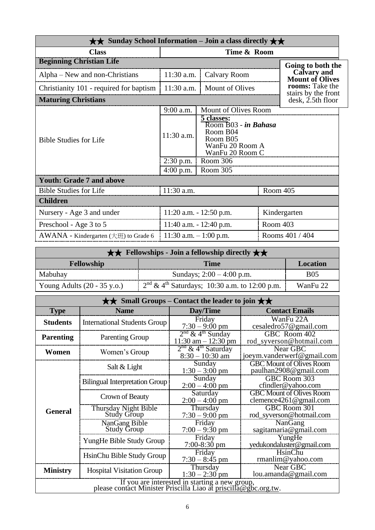| $\star\star$ Sunday School Information – Join a class directly $\star\star$ |                            |                                                                                                  |                 |                                        |  |
|-----------------------------------------------------------------------------|----------------------------|--------------------------------------------------------------------------------------------------|-----------------|----------------------------------------|--|
| <b>Class</b>                                                                | Time & Room                |                                                                                                  |                 |                                        |  |
| <b>Beginning Christian Life</b>                                             |                            |                                                                                                  |                 | Going to both the                      |  |
| Alpha – New and non-Christians                                              | 11:30 a.m.<br>Calvary Room |                                                                                                  |                 | Calvary and<br><b>Mount of Olives</b>  |  |
| Christianity 101 - required for baptism                                     | $11:30$ a.m.               | <b>Mount of Olives</b>                                                                           |                 | rooms: Take the<br>stairs by the front |  |
| <b>Maturing Christians</b>                                                  |                            |                                                                                                  |                 | $\mathrm{d}\mathrm{esk}$ , 2.5th floor |  |
|                                                                             | 9:00 a.m.                  | Mount of Olives Room                                                                             |                 |                                        |  |
| <b>Bible Studies for Life</b>                                               | 11:30 a.m.                 | 5 classes:<br>Room B03 - in Bahasa<br>Room B04<br>Room B05<br>WanFu 20 Room A<br>WanFu 20 Room C |                 |                                        |  |
|                                                                             | $2:30$ p.m.                | Room 306                                                                                         |                 |                                        |  |
|                                                                             | $4:00$ p.m.                | Room 305                                                                                         |                 |                                        |  |
| <b>Youth: Grade 7 and above</b>                                             |                            |                                                                                                  |                 |                                        |  |
| <b>Bible Studies for Life</b>                                               | 11:30 a.m.<br>Room 405     |                                                                                                  |                 |                                        |  |
| <b>Children</b>                                                             |                            |                                                                                                  |                 |                                        |  |
| Nursery - Age 3 and under                                                   | $11:20$ a.m. $-12:50$ p.m. |                                                                                                  |                 | Kindergarten                           |  |
| Preschool - Age 3 to 5                                                      | 11:40 a.m. $- 12:40$ p.m.  |                                                                                                  | Room 403        |                                        |  |
| AWANA - Kindergarten $(\pm \mathcal{H})$ to Grade 6                         | 11:30 a.m. $-1:00$ p.m.    |                                                                                                  | Rooms 401 / 404 |                                        |  |

| $\star \star$ Fellowships - Join a fellowship directly $\star \star$ |                                                   |            |  |  |
|----------------------------------------------------------------------|---------------------------------------------------|------------|--|--|
| <b>Fellowship</b><br><b>Time</b><br><b>Location</b>                  |                                                   |            |  |  |
| Mabuhay                                                              | Sundays; $2:00 - 4:00$ p.m.                       | <b>B05</b> |  |  |
| Young Adults $(20 - 35 \text{ y.o.})$                                | $2nd \& 4th Saturdays$ ; 10:30 a.m. to 12:00 p.m. | WanFu 22   |  |  |

| $\star\star$ Small Groups – Contact the leader to join $\star\star$                                               |                                            |                                                          |                                                           |  |  |  |
|-------------------------------------------------------------------------------------------------------------------|--------------------------------------------|----------------------------------------------------------|-----------------------------------------------------------|--|--|--|
| <b>Type</b>                                                                                                       | <b>Name</b>                                | Day/Time                                                 | <b>Contact Emails</b>                                     |  |  |  |
| <b>Students</b>                                                                                                   | <b>International Students Group</b>        | Friday<br>$7:30 - 9:00$ pm                               | WanFu 22A<br>cesaledro57@gmail.com                        |  |  |  |
| <b>Parenting</b>                                                                                                  | <b>Parenting Group</b>                     | $2nd$ & 4 <sup>th</sup> Sunday<br>$11:30$ am $-12:30$ pm | GBC Room 402<br>rod_syverson@hotmail.com                  |  |  |  |
| Women                                                                                                             | Women's Group                              | $2nd$ & 4 <sup>th</sup> Saturday<br>$8:30 - 10:30$ am    | Near GBC<br>joeym.vanderwerf@gmail.com                    |  |  |  |
|                                                                                                                   | Salt & Light                               | Sunday<br>$1:30 - 3:00$ pm                               | <b>GBC Mount of Olives Room</b><br>paulhan2908@gmail.com  |  |  |  |
|                                                                                                                   | <b>Bilingual Interpretation Group</b>      | Sunday<br>$2:00 - 4:00$ pm                               | <b>GBC Room 303</b><br>cfindler@yahoo.com                 |  |  |  |
|                                                                                                                   | Crown of Beauty                            | Saturday<br>$2:00 - 4:00$ pm                             | <b>GBC Mount of Olives Room</b><br>clemence4261@gmail.com |  |  |  |
| <b>General</b>                                                                                                    | Thursday Night Bible<br><b>Study Group</b> | Thursday<br>$7:30 - 9:00$ pm                             | GBC Room 301<br>rod_syverson@hotmail.com                  |  |  |  |
|                                                                                                                   | NanGang Bible<br><b>Study Group</b>        | Friday<br>$7:00 - 9:30$ pm                               | NanGang<br>sagitamaria@gmail.com                          |  |  |  |
|                                                                                                                   | YungHe Bible Study Group                   | Friday<br>$7:00-8:30$ pm                                 | YungHe<br>yedukondaluster@gmail.com                       |  |  |  |
|                                                                                                                   | HsinChu Bible Study Group                  | Friday<br>$7:30 - 8:45$ pm                               | HsinChu<br>rmanlim@yahoo.com                              |  |  |  |
| <b>Ministry</b>                                                                                                   | <b>Hospital Visitation Group</b>           | Thursday<br>$1:30 - 2:30$ pm                             | Near GBC<br>lou.amanda@gmail.com                          |  |  |  |
| If you are interested in starting a new group,<br>please contact Minister Priscilla Liao at priscilla@gbc.org.tw. |                                            |                                                          |                                                           |  |  |  |